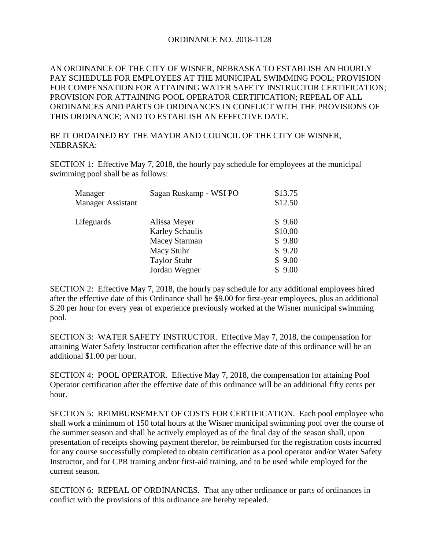## ORDINANCE NO. 2018-1128

AN ORDINANCE OF THE CITY OF WISNER, NEBRASKA TO ESTABLISH AN HOURLY PAY SCHEDULE FOR EMPLOYEES AT THE MUNICIPAL SWIMMING POOL; PROVISION FOR COMPENSATION FOR ATTAINING WATER SAFETY INSTRUCTOR CERTIFICATION; PROVISION FOR ATTAINING POOL OPERATOR CERTIFICATION; REPEAL OF ALL ORDINANCES AND PARTS OF ORDINANCES IN CONFLICT WITH THE PROVISIONS OF THIS ORDINANCE; AND TO ESTABLISH AN EFFECTIVE DATE.

## BE IT ORDAINED BY THE MAYOR AND COUNCIL OF THE CITY OF WISNER, NEBRASKA:

SECTION 1: Effective May 7, 2018, the hourly pay schedule for employees at the municipal swimming pool shall be as follows:

| \$13.75<br>\$12.50 |
|--------------------|
| \$9.60             |
| \$10.00            |
| \$9.80             |
| \$9.20             |
| \$9.00             |
| \$9.00             |
|                    |

SECTION 2: Effective May 7, 2018, the hourly pay schedule for any additional employees hired after the effective date of this Ordinance shall be \$9.00 for first-year employees, plus an additional \$.20 per hour for every year of experience previously worked at the Wisner municipal swimming pool.

SECTION 3: WATER SAFETY INSTRUCTOR. Effective May 7, 2018, the compensation for attaining Water Safety Instructor certification after the effective date of this ordinance will be an additional \$1.00 per hour.

SECTION 4: POOL OPERATOR. Effective May 7, 2018, the compensation for attaining Pool Operator certification after the effective date of this ordinance will be an additional fifty cents per hour.

SECTION 5: REIMBURSEMENT OF COSTS FOR CERTIFICATION. Each pool employee who shall work a minimum of 150 total hours at the Wisner municipal swimming pool over the course of the summer season and shall be actively employed as of the final day of the season shall, upon presentation of receipts showing payment therefor, be reimbursed for the registration costs incurred for any course successfully completed to obtain certification as a pool operator and/or Water Safety Instructor, and for CPR training and/or first-aid training, and to be used while employed for the current season.

SECTION 6: REPEAL OF ORDINANCES. That any other ordinance or parts of ordinances in conflict with the provisions of this ordinance are hereby repealed.